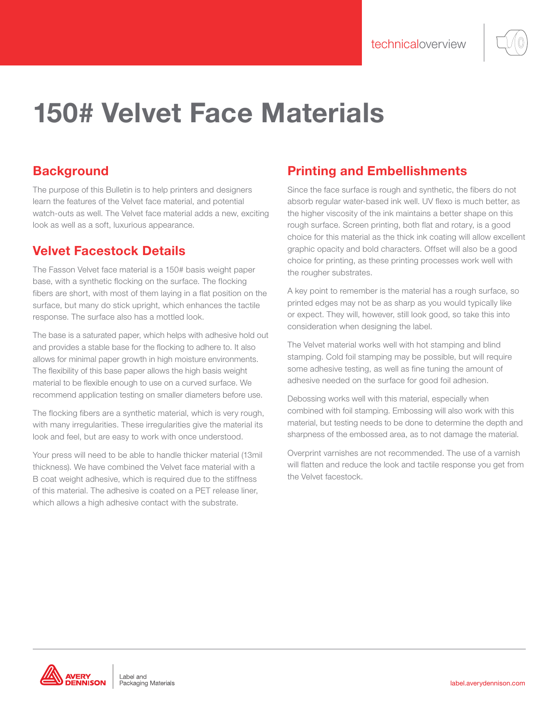# 150# Velvet Face Materials

## **Background**

The purpose of this Bulletin is to help printers and designers learn the features of the Velvet face material, and potential watch-outs as well. The Velvet face material adds a new, exciting look as well as a soft, luxurious appearance.

## Velvet Facestock Details

The Fasson Velvet face material is a 150# basis weight paper base, with a synthetic flocking on the surface. The flocking fibers are short, with most of them laying in a flat position on the surface, but many do stick upright, which enhances the tactile response. The surface also has a mottled look.

The base is a saturated paper, which helps with adhesive hold out and provides a stable base for the flocking to adhere to. It also allows for minimal paper growth in high moisture environments. The flexibility of this base paper allows the high basis weight material to be flexible enough to use on a curved surface. We recommend application testing on smaller diameters before use.

The flocking fibers are a synthetic material, which is very rough, with many irregularities. These irregularities give the material its look and feel, but are easy to work with once understood.

Your press will need to be able to handle thicker material (13mil thickness). We have combined the Velvet face material with a B coat weight adhesive, which is required due to the stiffness of this material. The adhesive is coated on a PET release liner, which allows a high adhesive contact with the substrate.

## Printing and Embellishments

Since the face surface is rough and synthetic, the fibers do not absorb regular water-based ink well. UV flexo is much better, as the higher viscosity of the ink maintains a better shape on this rough surface. Screen printing, both flat and rotary, is a good choice for this material as the thick ink coating will allow excellent graphic opacity and bold characters. Offset will also be a good choice for printing, as these printing processes work well with the rougher substrates.

A key point to remember is the material has a rough surface, so printed edges may not be as sharp as you would typically like or expect. They will, however, still look good, so take this into consideration when designing the label.

The Velvet material works well with hot stamping and blind stamping. Cold foil stamping may be possible, but will require some adhesive testing, as well as fine tuning the amount of adhesive needed on the surface for good foil adhesion.

Debossing works well with this material, especially when combined with foil stamping. Embossing will also work with this material, but testing needs to be done to determine the depth and sharpness of the embossed area, as to not damage the material.

Overprint varnishes are not recommended. The use of a varnish will flatten and reduce the look and tactile response you get from the Velvet facestock.